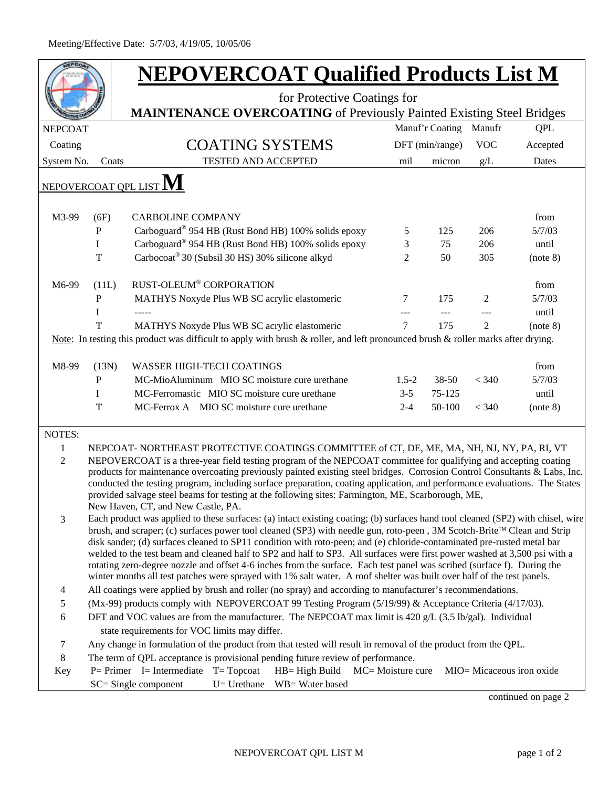|                |                                                                                                                                                                                                                                                      | <b>NEPOVERCOAT Qualified Products List M</b>                                                                                                                                                                                                     |                            |                                                                             |                   |           |                 |                |                           |  |
|----------------|------------------------------------------------------------------------------------------------------------------------------------------------------------------------------------------------------------------------------------------------------|--------------------------------------------------------------------------------------------------------------------------------------------------------------------------------------------------------------------------------------------------|----------------------------|-----------------------------------------------------------------------------|-------------------|-----------|-----------------|----------------|---------------------------|--|
|                |                                                                                                                                                                                                                                                      |                                                                                                                                                                                                                                                  |                            | for Protective Coatings for                                                 |                   |           |                 |                |                           |  |
|                |                                                                                                                                                                                                                                                      |                                                                                                                                                                                                                                                  |                            | <b>MAINTENANCE OVERCOATING</b> of Previously Painted Existing Steel Bridges |                   |           |                 |                |                           |  |
| <b>NEPCOAT</b> |                                                                                                                                                                                                                                                      |                                                                                                                                                                                                                                                  |                            |                                                                             |                   |           | Manuf'r Coating | Manufr         | <b>QPL</b>                |  |
| Coating        |                                                                                                                                                                                                                                                      |                                                                                                                                                                                                                                                  |                            | <b>COATING SYSTEMS</b>                                                      |                   |           | DFT (min/range) | <b>VOC</b>     | Accepted                  |  |
| System No.     | Coats                                                                                                                                                                                                                                                |                                                                                                                                                                                                                                                  | <b>TESTED AND ACCEPTED</b> |                                                                             |                   | mil       | micron          | g/L            | Dates                     |  |
|                |                                                                                                                                                                                                                                                      | <u>NEPOVERCOAT QPL LI</u> ST $\bf M$                                                                                                                                                                                                             |                            |                                                                             |                   |           |                 |                |                           |  |
|                |                                                                                                                                                                                                                                                      |                                                                                                                                                                                                                                                  |                            |                                                                             |                   |           |                 |                |                           |  |
| M3-99          | (6F)                                                                                                                                                                                                                                                 | <b>CARBOLINE COMPANY</b>                                                                                                                                                                                                                         |                            |                                                                             |                   |           |                 |                | from                      |  |
|                | P                                                                                                                                                                                                                                                    |                                                                                                                                                                                                                                                  |                            | Carboguard® 954 HB (Rust Bond HB) 100% solids epoxy                         |                   | 5         | 125             | 206            | 5/7/03                    |  |
|                | $\bf{I}$                                                                                                                                                                                                                                             |                                                                                                                                                                                                                                                  |                            | Carboguard® 954 HB (Rust Bond HB) 100% solids epoxy                         |                   | 3         | 75              | 206            | until                     |  |
|                | $\mathbf T$                                                                                                                                                                                                                                          | Carbocoat <sup>®</sup> 30 (Subsil 30 HS) 30% silicone alkyd                                                                                                                                                                                      |                            |                                                                             |                   | 2         | 50              | 305            | (note 8)                  |  |
| M6-99          | (11L)                                                                                                                                                                                                                                                | RUST-OLEUM® CORPORATION                                                                                                                                                                                                                          |                            |                                                                             |                   |           |                 |                | from                      |  |
|                | $\mathbf{P}$                                                                                                                                                                                                                                         |                                                                                                                                                                                                                                                  |                            | MATHYS Noxyde Plus WB SC acrylic elastomeric                                |                   | 7         | 175             | 2              | 5/7/03                    |  |
|                | I                                                                                                                                                                                                                                                    |                                                                                                                                                                                                                                                  |                            |                                                                             |                   |           |                 |                | until                     |  |
|                | T                                                                                                                                                                                                                                                    |                                                                                                                                                                                                                                                  |                            | MATHYS Noxyde Plus WB SC acrylic elastomeric                                |                   | $\tau$    | 175             | $\mathfrak{D}$ | (note 8)                  |  |
|                |                                                                                                                                                                                                                                                      | Note: In testing this product was difficult to apply with brush & roller, and left pronounced brush & roller marks after drying.                                                                                                                 |                            |                                                                             |                   |           |                 |                |                           |  |
|                |                                                                                                                                                                                                                                                      |                                                                                                                                                                                                                                                  |                            |                                                                             |                   |           |                 |                |                           |  |
| M8-99          | (13N)                                                                                                                                                                                                                                                | <b>WASSER HIGH-TECH COATINGS</b>                                                                                                                                                                                                                 |                            |                                                                             |                   |           |                 |                | from                      |  |
|                | $\, {\bf P}$                                                                                                                                                                                                                                         |                                                                                                                                                                                                                                                  |                            | MC-MioAluminum MIO SC moisture cure urethane                                |                   | $1.5 - 2$ | 38-50           | < 340          | 5/7/03                    |  |
|                | $\bf{I}$                                                                                                                                                                                                                                             | MC-Ferromastic MIO SC moisture cure urethane                                                                                                                                                                                                     |                            |                                                                             |                   | $3 - 5$   | 75-125          |                | until                     |  |
|                | T                                                                                                                                                                                                                                                    | MC-Ferrox A MIO SC moisture cure urethane                                                                                                                                                                                                        |                            |                                                                             |                   | $2 - 4$   | 50-100          | < 340          | (note 8)                  |  |
|                |                                                                                                                                                                                                                                                      |                                                                                                                                                                                                                                                  |                            |                                                                             |                   |           |                 |                |                           |  |
| NOTES:         |                                                                                                                                                                                                                                                      |                                                                                                                                                                                                                                                  |                            |                                                                             |                   |           |                 |                |                           |  |
| 1              |                                                                                                                                                                                                                                                      | NEPCOAT-NORTHEAST PROTECTIVE COATINGS COMMITTEE of CT, DE, ME, MA, NH, NJ, NY, PA, RI, VT                                                                                                                                                        |                            |                                                                             |                   |           |                 |                |                           |  |
| $\overline{2}$ |                                                                                                                                                                                                                                                      | NEPOVERCOAT is a three-year field testing program of the NEPCOAT committee for qualifying and accepting coating<br>products for maintenance overcoating previously painted existing steel bridges. Corrosion Control Consultants & Labs, Inc.    |                            |                                                                             |                   |           |                 |                |                           |  |
|                |                                                                                                                                                                                                                                                      | conducted the testing program, including surface preparation, coating application, and performance evaluations. The States                                                                                                                       |                            |                                                                             |                   |           |                 |                |                           |  |
|                |                                                                                                                                                                                                                                                      | provided salvage steel beams for testing at the following sites: Farmington, ME, Scarborough, ME,                                                                                                                                                |                            |                                                                             |                   |           |                 |                |                           |  |
|                |                                                                                                                                                                                                                                                      | New Haven, CT, and New Castle, PA.                                                                                                                                                                                                               |                            |                                                                             |                   |           |                 |                |                           |  |
| 3              |                                                                                                                                                                                                                                                      | Each product was applied to these surfaces: (a) intact existing coating; (b) surfaces hand tool cleaned (SP2) with chisel, wire                                                                                                                  |                            |                                                                             |                   |           |                 |                |                           |  |
|                |                                                                                                                                                                                                                                                      | brush, and scraper; (c) surfaces power tool cleaned (SP3) with needle gun, roto-peen, 3M Scotch-Brite™ Clean and Strip<br>disk sander; (d) surfaces cleaned to SP11 condition with roto-peen; and (e) chloride-contaminated pre-rusted metal bar |                            |                                                                             |                   |           |                 |                |                           |  |
|                |                                                                                                                                                                                                                                                      |                                                                                                                                                                                                                                                  |                            |                                                                             |                   |           |                 |                |                           |  |
|                | welded to the test beam and cleaned half to SP2 and half to SP3. All surfaces were first power washed at 3,500 psi with a<br>rotating zero-degree nozzle and offset 4-6 inches from the surface. Each test panel was scribed (surface f). During the |                                                                                                                                                                                                                                                  |                            |                                                                             |                   |           |                 |                |                           |  |
|                |                                                                                                                                                                                                                                                      | winter months all test patches were sprayed with 1% salt water. A roof shelter was built over half of the test panels.                                                                                                                           |                            |                                                                             |                   |           |                 |                |                           |  |
| 4              | All coatings were applied by brush and roller (no spray) and according to manufacturer's recommendations.                                                                                                                                            |                                                                                                                                                                                                                                                  |                            |                                                                             |                   |           |                 |                |                           |  |
| 5              | (Mx-99) products comply with NEPOVERCOAT 99 Testing Program (5/19/99) & Acceptance Criteria (4/17/03).                                                                                                                                               |                                                                                                                                                                                                                                                  |                            |                                                                             |                   |           |                 |                |                           |  |
| 6              | DFT and VOC values are from the manufacturer. The NEPCOAT max limit is 420 g/L (3.5 lb/gal). Individual                                                                                                                                              |                                                                                                                                                                                                                                                  |                            |                                                                             |                   |           |                 |                |                           |  |
|                |                                                                                                                                                                                                                                                      | state requirements for VOC limits may differ.                                                                                                                                                                                                    |                            |                                                                             |                   |           |                 |                |                           |  |
| 7              | Any change in formulation of the product from that tested will result in removal of the product from the QPL.                                                                                                                                        |                                                                                                                                                                                                                                                  |                            |                                                                             |                   |           |                 |                |                           |  |
| 8              | The term of QPL acceptance is provisional pending future review of performance.                                                                                                                                                                      |                                                                                                                                                                                                                                                  |                            |                                                                             |                   |           |                 |                |                           |  |
| Key            |                                                                                                                                                                                                                                                      | $P = Primer$ I = Intermediate T = Topcoat                                                                                                                                                                                                        |                            | $HB = High Build$                                                           | MC= Moisture cure |           |                 |                | MIO= Micaceous iron oxide |  |
|                |                                                                                                                                                                                                                                                      | SC= Single component                                                                                                                                                                                                                             | U= Urethane                | WB= Water based                                                             |                   |           |                 |                |                           |  |

continued on page 2